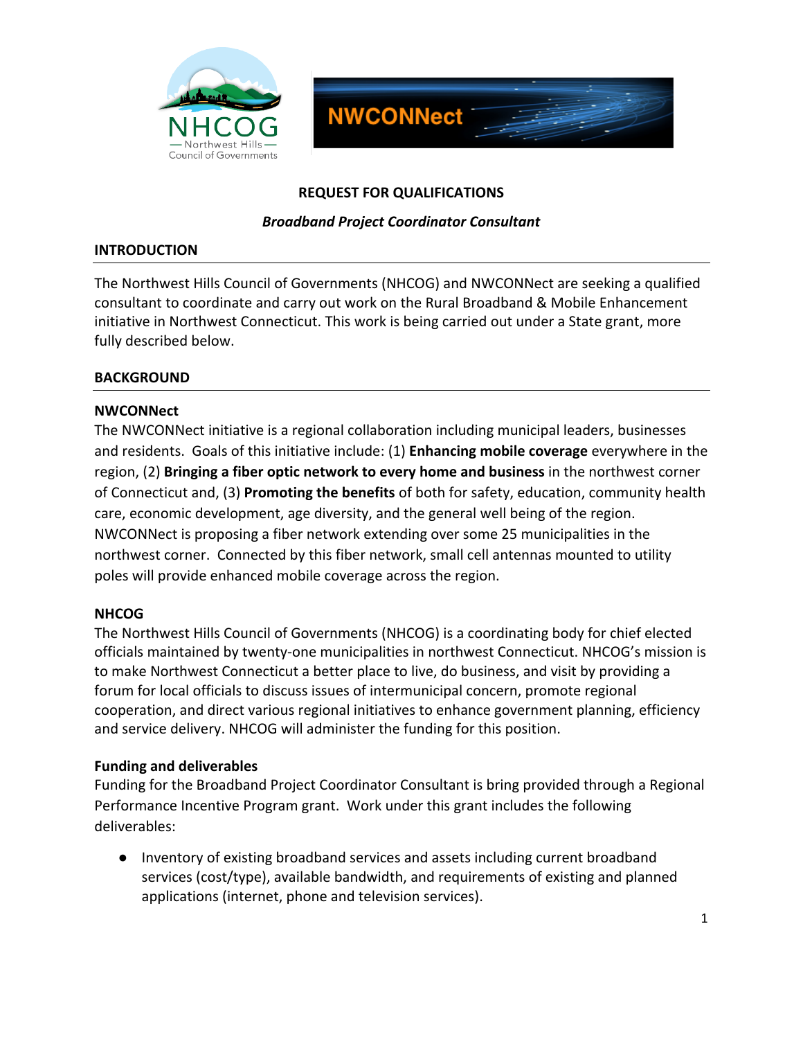



### REQUEST FOR QUALIFICATIONS

#### **Broadband Project Coordinator Consultant**

#### **INTRODUCTION**

The Northwest Hills Council of Governments (NHCOG) and NWCONNect are seeking a qualified consultant to coordinate and carry out work on the Rural Broadband & Mobile Enhancement initiative in Northwest Connecticut. This work is being carried out under a State grant, more fully described below.

### **BACKGROUND**

### **NWCONNect**

The NWCONNect initiative is a regional collaboration including municipal leaders, businesses and residents. Goals of this initiative include: (1) **Enhancing mobile coverage** everywhere in the region, (2) **Bringing a fiber optic network to every home and business** in the northwest corner of Connecticut and, (3) **Promoting the benefits** of both for safety, education, community health care, economic development, age diversity, and the general well being of the region. NWCONNect is proposing a fiber network extending over some 25 municipalities in the northwest corner. Connected by this fiber network, small cell antennas mounted to utility poles will provide enhanced mobile coverage across the region.

## **NHCOG**

The Northwest Hills Council of Governments (NHCOG) is a coordinating body for chief elected officials maintained by twenty-one municipalities in northwest Connecticut. NHCOG's mission is to make Northwest Connecticut a better place to live, do business, and visit by providing a forum for local officials to discuss issues of intermunicipal concern, promote regional cooperation, and direct various regional initiatives to enhance government planning, efficiency and service delivery. NHCOG will administer the funding for this position.

#### **Funding'and'deliverables**

Funding for the Broadband Project Coordinator Consultant is bring provided through a Regional Performance Incentive Program grant. Work under this grant includes the following deliverables:

• Inventory of existing broadband services and assets including current broadband services (cost/type), available bandwidth, and requirements of existing and planned applications (internet, phone and television services).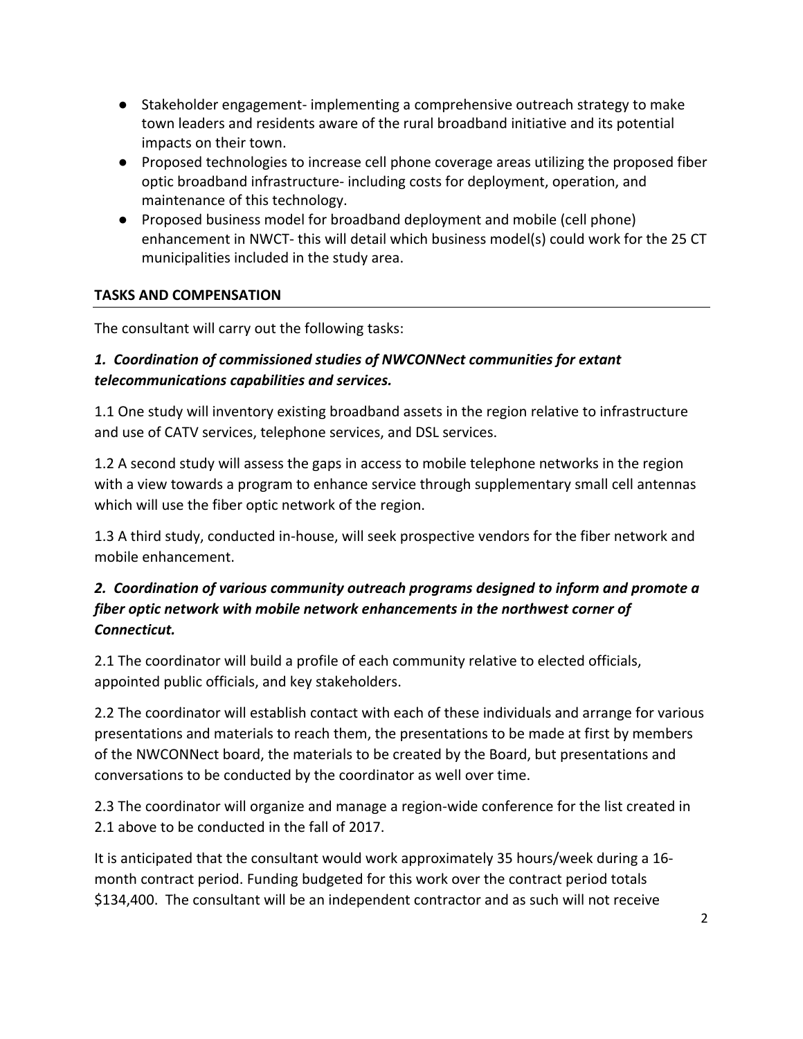- Stakeholder engagement- implementing a comprehensive outreach strategy to make town leaders and residents aware of the rural broadband initiative and its potential impacts on their town.
- Proposed technologies to increase cell phone coverage areas utilizing the proposed fiber optic broadband infrastructure- including costs for deployment, operation, and maintenance of this technology.
- Proposed business model for broadband deployment and mobile (cell phone) enhancement in NWCT- this will detail which business model(s) could work for the 25 CT municipalities included in the study area.

# **TASKS'AND'COMPENSATION**

The consultant will carry out the following tasks:

# 1. Coordination of commissioned studies of NWCONNect communities for extant *telecommunications(capabilities(and(services.*

1.1 One study will inventory existing broadband assets in the region relative to infrastructure and use of CATV services, telephone services, and DSL services.

1.2 A second study will assess the gaps in access to mobile telephone networks in the region with a view towards a program to enhance service through supplementary small cell antennas which will use the fiber optic network of the region.

1.3 A third study, conducted in-house, will seek prospective vendors for the fiber network and mobile enhancement.

# 2. Coordination of various community outreach programs designed to inform and promote a *fiber optic network with mobile network enhancements in the northwest corner of Connecticut.(*

2.1 The coordinator will build a profile of each community relative to elected officials, appointed public officials, and key stakeholders.

2.2 The coordinator will establish contact with each of these individuals and arrange for various presentations and materials to reach them, the presentations to be made at first by members of the NWCONNect board, the materials to be created by the Board, but presentations and conversations to be conducted by the coordinator as well over time.

2.3 The coordinator will organize and manage a region-wide conference for the list created in 2.1 above to be conducted in the fall of 2017.

It is anticipated that the consultant would work approximately 35 hours/week during a 16month contract period. Funding budgeted for this work over the contract period totals \$134,400. The consultant will be an independent contractor and as such will not receive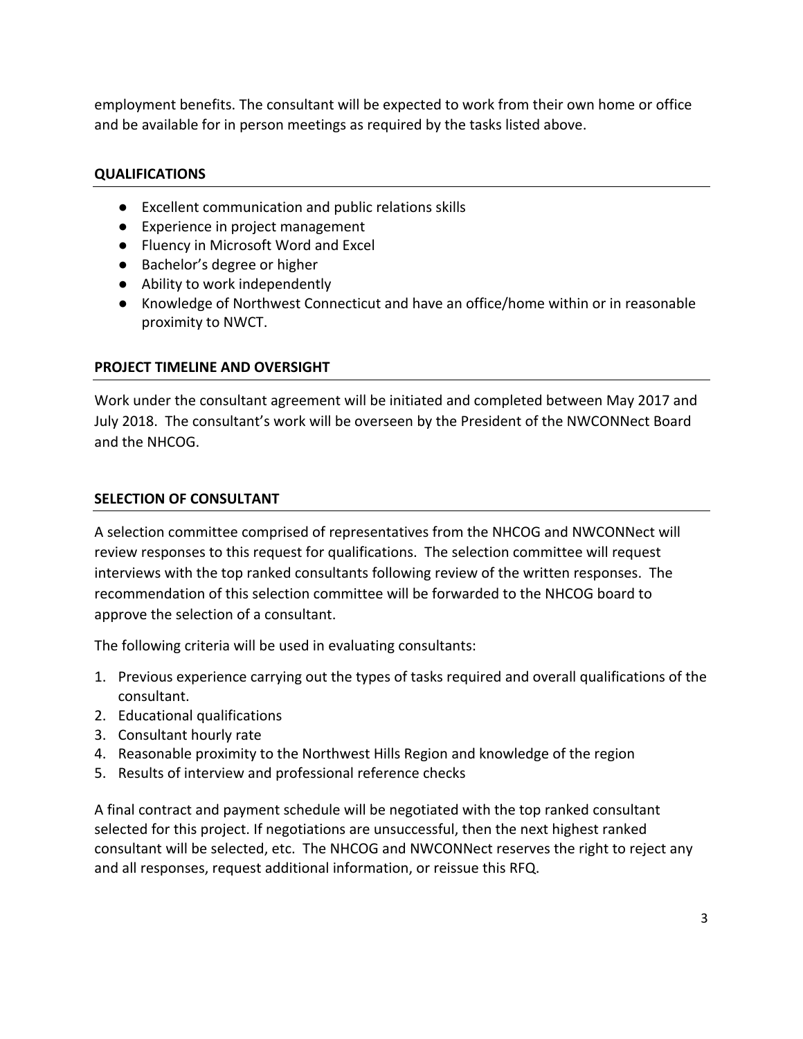employment benefits. The consultant will be expected to work from their own home or office and be available for in person meetings as required by the tasks listed above.

## **QUALIFICATIONS**

- Excellent communication and public relations skills
- Experience in project management
- Fluency in Microsoft Word and Excel
- Bachelor's degree or higher
- Ability to work independently
- Knowledge of Northwest Connecticut and have an office/home within or in reasonable proximity to NWCT.

## **PROJECT TIMELINE AND OVERSIGHT**

Work under the consultant agreement will be initiated and completed between May 2017 and July 2018. The consultant's work will be overseen by the President of the NWCONNect Board and the NHCOG.

## **SELECTION OF CONSULTANT**

A selection committee comprised of representatives from the NHCOG and NWCONNect will review responses to this request for qualifications. The selection committee will request interviews with the top ranked consultants following review of the written responses. The recommendation of this selection committee will be forwarded to the NHCOG board to approve the selection of a consultant.

The following criteria will be used in evaluating consultants:

- 1. Previous experience carrying out the types of tasks required and overall qualifications of the consultant.
- 2. Educational qualifications
- 3. Consultant hourly rate
- 4. Reasonable proximity to the Northwest Hills Region and knowledge of the region
- 5. Results of interview and professional reference checks

A final contract and payment schedule will be negotiated with the top ranked consultant selected for this project. If negotiations are unsuccessful, then the next highest ranked consultant will be selected, etc. The NHCOG and NWCONNect reserves the right to reject any and all responses, request additional information, or reissue this RFQ.